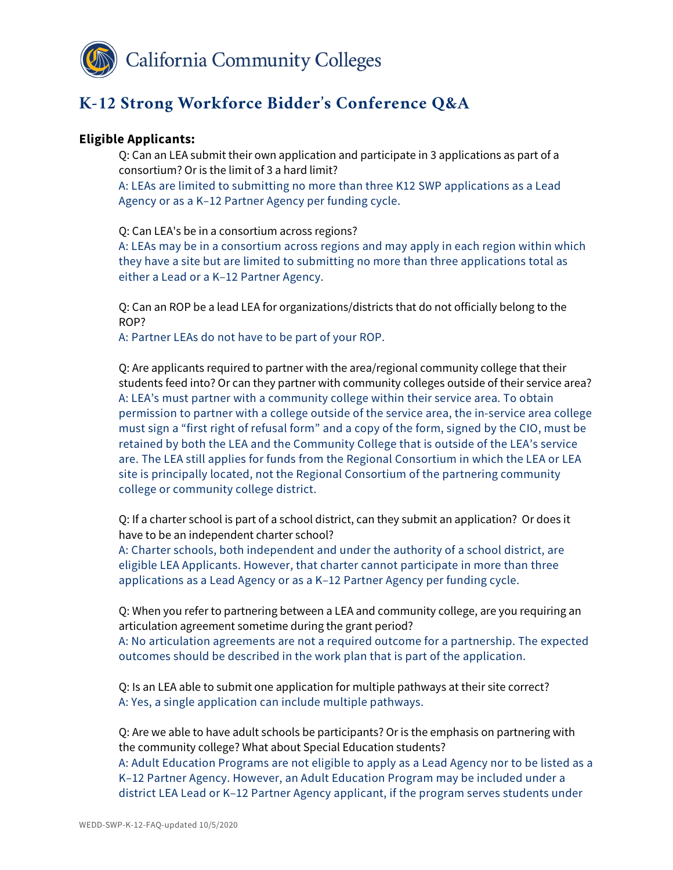# **K-12 Strong Workforce Bidder's Conference Q&A**

# **Eligible Applicants:**

Q: Can an LEA submit their own application and participate in 3 applications as part of a consortium? Or is the limit of 3 a hard limit?

A: LEAs are limited to submitting no more than three K12 SWP applications as a Lead Agency or as a K–12 Partner Agency per funding cycle.

Q: Can LEA's be in a consortium across regions?

A: LEAs may be in a consortium across regions and may apply in each region within which they have a site but are limited to submitting no more than three applications total as either a Lead or a K–12 Partner Agency.

Q: Can an ROP be a lead LEA for organizations/districts that do not officially belong to the ROP?

A: Partner LEAs do not have to be part of your ROP.

Q: Are applicants required to partner with the area/regional community college that their students feed into? Or can they partner with community colleges outside of their service area? A: LEA's must partner with a community college within their service area. To obtain permission to partner with a college outside of the service area, the in-service area college must sign a "first right of refusal form" and a copy of the form, signed by the CIO, must be retained by both the LEA and the Community College that is outside of the LEA's service are. The LEA still applies for funds from the Regional Consortium in which the LEA or LEA site is principally located, not the Regional Consortium of the partnering community college or community college district.

Q: If a charter school is part of a school district, can they submit an application? Or does it have to be an independent charter school?

A: Charter schools, both independent and under the authority of a school district, are eligible LEA Applicants. However, that charter cannot participate in more than three applications as a Lead Agency or as a K–12 Partner Agency per funding cycle.

Q: When you refer to partnering between a LEA and community college, are you requiring an articulation agreement sometime during the grant period?

A: No articulation agreements are not a required outcome for a partnership. The expected outcomes should be described in the work plan that is part of the application.

Q: Is an LEA able to submit one application for multiple pathways at their site correct? A: Yes, a single application can include multiple pathways.

Q: Are we able to have adult schools be participants? Or is the emphasis on partnering with the community college? What about Special Education students? A: Adult Education Programs are not eligible to apply as a Lead Agency nor to be listed as a K–12 Partner Agency. However, an Adult Education Program may be included under a district LEA Lead or K–12 Partner Agency applicant, if the program serves students under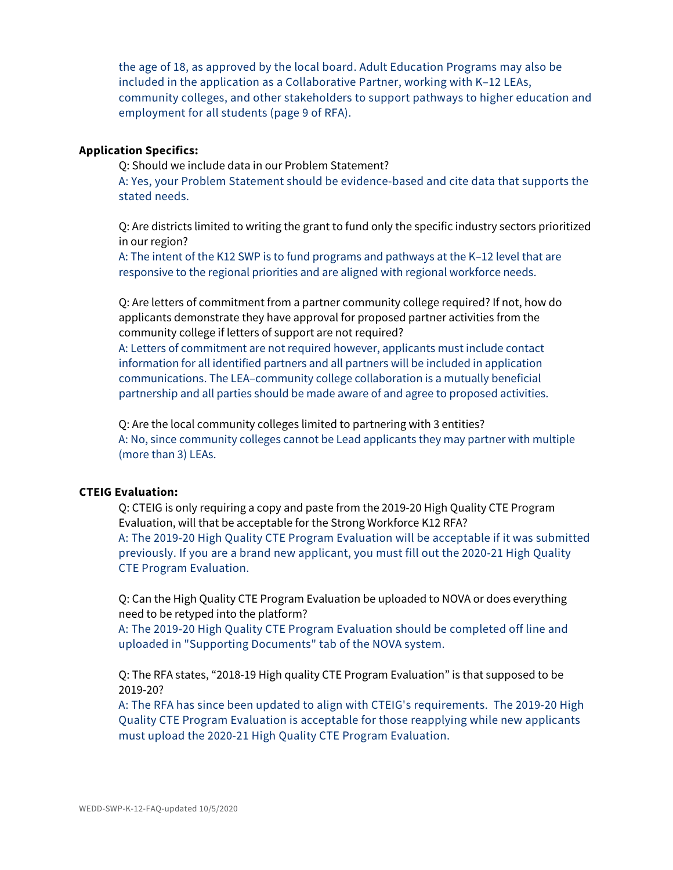the age of 18, as approved by the local board. Adult Education Programs may also be included in the application as a Collaborative Partner, working with K–12 LEAs, community colleges, and other stakeholders to support pathways to higher education and employment for all students (page 9 of RFA).

### **Application Specifics:**

Q: Should we include data in our Problem Statement?

A: Yes, your Problem Statement should be evidence-based and cite data that supports the stated needs.

Q: Are districts limited to writing the grant to fund only the specific industry sectors prioritized in our region?

A: The intent of the K12 SWP is to fund programs and pathways at the K–12 level that are responsive to the regional priorities and are aligned with regional workforce needs.

Q: Are letters of commitment from a partner community college required? If not, how do applicants demonstrate they have approval for proposed partner activities from the community college if letters of support are not required?

A: Letters of commitment are not required however, applicants must include contact information for all identified partners and all partners will be included in application communications. The LEA–community college collaboration is a mutually beneficial partnership and all parties should be made aware of and agree to proposed activities.

Q: Are the local community colleges limited to partnering with 3 entities? A: No, since community colleges cannot be Lead applicants they may partner with multiple (more than 3) LEAs.

#### **CTEIG Evaluation:**

Q: CTEIG is only requiring a copy and paste from the 2019-20 High Quality CTE Program Evaluation, will that be acceptable for the Strong Workforce K12 RFA? A: The 2019-20 High Quality CTE Program Evaluation will be acceptable if it was submitted previously. If you are a brand new applicant, you must fill out the 2020-21 High Quality CTE Program Evaluation.

Q: Can the High Quality CTE Program Evaluation be uploaded to NOVA or does everything need to be retyped into the platform?

A: The 2019-20 High Quality CTE Program Evaluation should be completed off line and uploaded in "Supporting Documents" tab of the NOVA system.

Q: The RFA states, "2018-19 High quality CTE Program Evaluation" is that supposed to be 2019-20?

A: The RFA has since been updated to align with CTEIG's requirements. The 2019-20 High Quality CTE Program Evaluation is acceptable for those reapplying while new applicants must upload the 2020-21 High Quality CTE Program Evaluation.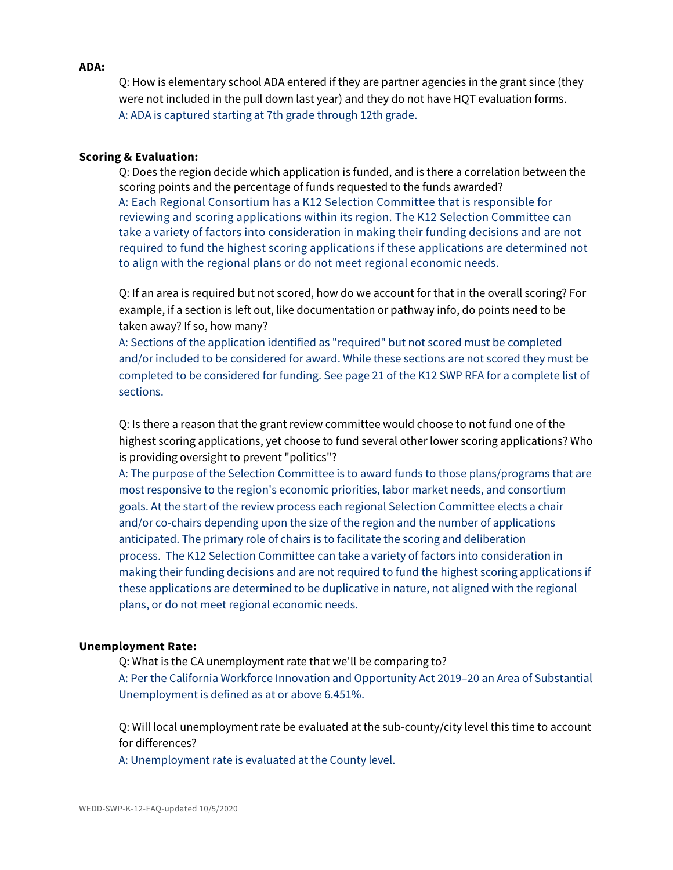#### **ADA:**

Q: How is elementary school ADA entered if they are partner agencies in the grant since (they were not included in the pull down last year) and they do not have HQT evaluation forms. A: ADA is captured starting at 7th grade through 12th grade.

#### **Scoring & Evaluation:**

Q: Does the region decide which application is funded, and is there a correlation between the scoring points and the percentage of funds requested to the funds awarded? A: Each Regional Consortium has a K12 Selection Committee that is responsible for reviewing and scoring applications within its region. The K12 Selection Committee can take a variety of factors into consideration in making their funding decisions and are not required to fund the highest scoring applications if these applications are determined not to align with the regional plans or do not meet regional economic needs.

Q: If an area is required but not scored, how do we account for that in the overall scoring? For example, if a section is left out, like documentation or pathway info, do points need to be taken away? If so, how many?

A: Sections of the application identified as "required" but not scored must be completed and/or included to be considered for award. While these sections are not scored they must be completed to be considered for funding. See page 21 of the K12 SWP RFA for a complete list of sections.

Q: Is there a reason that the grant review committee would choose to not fund one of the highest scoring applications, yet choose to fund several other lower scoring applications? Who is providing oversight to prevent "politics"?

A: The purpose of the Selection Committee is to award funds to those plans/programs that are most responsive to the region's economic priorities, labor market needs, and consortium goals. At the start of the review process each regional Selection Committee elects a chair and/or co-chairs depending upon the size of the region and the number of applications anticipated. The primary role of chairs is to facilitate the scoring and deliberation process. The K12 Selection Committee can take a variety of factors into consideration in making their funding decisions and are not required to fund the highest scoring applications if these applications are determined to be duplicative in nature, not aligned with the regional plans, or do not meet regional economic needs.

#### **Unemployment Rate:**

Q: What is the CA unemployment rate that we'll be comparing to? A: Per the California Workforce Innovation and Opportunity Act 2019–20 an Area of Substantial Unemployment is defined as at or above 6.451%.

Q: Will local unemployment rate be evaluated at the sub-county/city level this time to account for differences?

A: Unemployment rate is evaluated at the County level.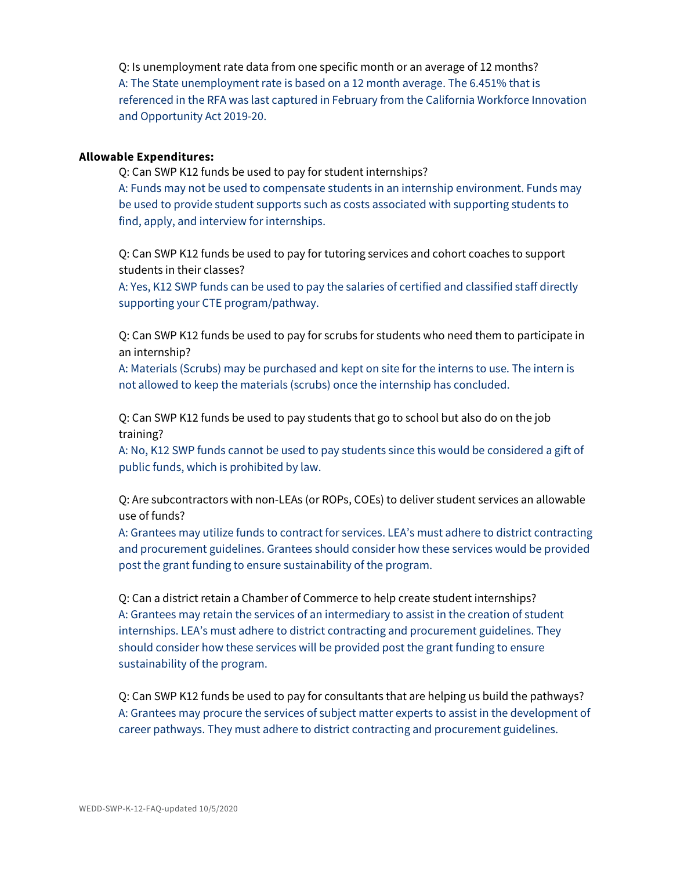Q: Is unemployment rate data from one specific month or an average of 12 months? A: The State unemployment rate is based on a 12 month average. The 6.451% that is referenced in the RFA was last captured in February from the California Workforce Innovation and Opportunity Act 2019-20.

# **Allowable Expenditures:**

Q: Can SWP K12 funds be used to pay for student internships?

A: Funds may not be used to compensate students in an internship environment. Funds may be used to provide student supports such as costs associated with supporting students to find, apply, and interview for internships.

Q: Can SWP K12 funds be used to pay for tutoring services and cohort coaches to support students in their classes?

A: Yes, K12 SWP funds can be used to pay the salaries of certified and classified staff directly supporting your CTE program/pathway.

Q: Can SWP K12 funds be used to pay for scrubs for students who need them to participate in an internship?

A: Materials (Scrubs) may be purchased and kept on site for the interns to use. The intern is not allowed to keep the materials (scrubs) once the internship has concluded.

Q: Can SWP K12 funds be used to pay students that go to school but also do on the job training?

A: No, K12 SWP funds cannot be used to pay students since this would be considered a gift of public funds, which is prohibited by law.

Q: Are subcontractors with non-LEAs (or ROPs, COEs) to deliver student services an allowable use of funds?

A: Grantees may utilize funds to contract for services. LEA's must adhere to district contracting and procurement guidelines. Grantees should consider how these services would be provided post the grant funding to ensure sustainability of the program.

Q: Can a district retain a Chamber of Commerce to help create student internships? A: Grantees may retain the services of an intermediary to assist in the creation of student internships. LEA's must adhere to district contracting and procurement guidelines. They should consider how these services will be provided post the grant funding to ensure sustainability of the program.

Q: Can SWP K12 funds be used to pay for consultants that are helping us build the pathways? A: Grantees may procure the services of subject matter experts to assist in the development of career pathways. They must adhere to district contracting and procurement guidelines.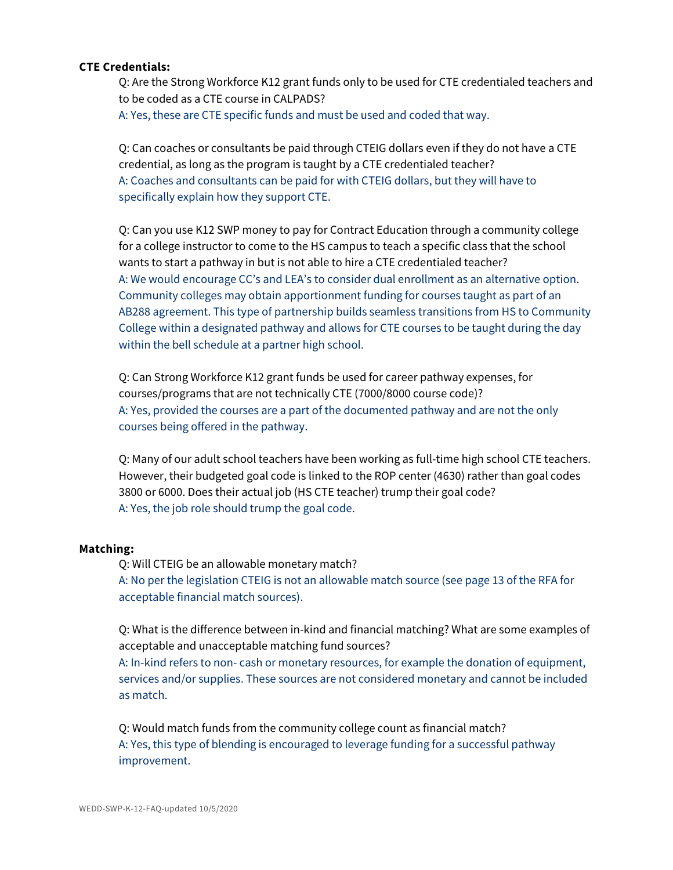# **CTE Credentials:**

Q: Are the Strong Workforce K12 grant funds only to be used for CTE credentialed teachers and to be coded as a CTE course in CALPADS? A: Yes, these are CTE specific funds and must be used and coded that way.

Q: Can coaches or consultants be paid through CTEIG dollars even if they do not have a CTE credential, as long as the program is taught by a CTE credentialed teacher? A: Coaches and consultants can be paid for with CTEIG dollars, but they will have to specifically explain how they support CTE.

Q: Can you use K12 SWP money to pay for Contract Education through a community college for a college instructor to come to the HS campus to teach a specific class that the school wants to start a pathway in but is not able to hire a CTE credentialed teacher? A: We would encourage CC's and LEA's to consider dual enrollment as an alternative option. Community colleges may obtain apportionment funding for courses taught as part of an AB288 agreement. This type of partnership builds seamless transitions from HS to Community College within a designated pathway and allows for CTE courses to be taught during the day within the bell schedule at a partner high school.

Q: Can Strong Workforce K12 grant funds be used for career pathway expenses, for courses/programs that are not technically CTE (7000/8000 course code)? A: Yes, provided the courses are a part of the documented pathway and are not the only courses being offered in the pathway.

Q: Many of our adult school teachers have been working as full-time high school CTE teachers. However, their budgeted goal code is linked to the ROP center (4630) rather than goal codes 3800 or 6000. Does their actual job (HS CTE teacher) trump their goal code? A: Yes, the job role should trump the goal code.

# **Matching:**

Q: Will CTEIG be an allowable monetary match? A: No per the legislation CTEIG is not an allowable match source (see page 13 of the RFA for acceptable financial match sources).

Q: What is the difference between in-kind and financial matching? What are some examples of acceptable and unacceptable matching fund sources?

A: In-kind refers to non- cash or monetary resources, for example the donation of equipment, services and/or supplies. These sources are not considered monetary and cannot be included as match.

Q: Would match funds from the community college count as financial match? A: Yes, this type of blending is encouraged to leverage funding for a successful pathway improvement.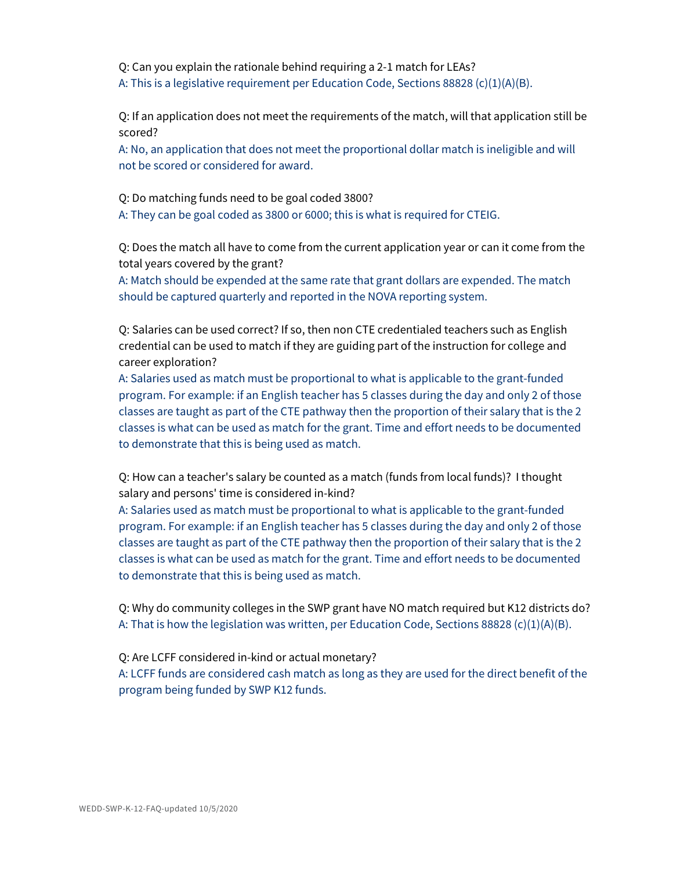Q: Can you explain the rationale behind requiring a 2-1 match for LEAs?

A: This is a legislative requirement per Education Code, Sections 88828  $(c)(1)(A)(B)$ .

Q: If an application does not meet the requirements of the match, will that application still be scored?

A: No, an application that does not meet the proportional dollar match is ineligible and will not be scored or considered for award.

Q: Do matching funds need to be goal coded 3800?

A: They can be goal coded as 3800 or 6000; this is what is required for CTEIG.

Q: Does the match all have to come from the current application year or can it come from the total years covered by the grant?

A: Match should be expended at the same rate that grant dollars are expended. The match should be captured quarterly and reported in the NOVA reporting system.

Q: Salaries can be used correct? If so, then non CTE credentialed teachers such as English credential can be used to match if they are guiding part of the instruction for college and career exploration?

A: Salaries used as match must be proportional to what is applicable to the grant-funded program. For example: if an English teacher has 5 classes during the day and only 2 of those classes are taught as part of the CTE pathway then the proportion of their salary that is the 2 classes is what can be used as match for the grant. Time and effort needs to be documented to demonstrate that this is being used as match.

Q: How can a teacher's salary be counted as a match (funds from local funds)? I thought salary and persons' time is considered in-kind?

A: Salaries used as match must be proportional to what is applicable to the grant-funded program. For example: if an English teacher has 5 classes during the day and only 2 of those classes are taught as part of the CTE pathway then the proportion of their salary that is the 2 classes is what can be used as match for the grant. Time and effort needs to be documented to demonstrate that this is being used as match.

Q: Why do community colleges in the SWP grant have NO match required but K12 districts do? A: That is how the legislation was written, per Education Code, Sections 88828 (c)(1)(A)(B).

# Q: Are LCFF considered in-kind or actual monetary?

A: LCFF funds are considered cash match as long as they are used for the direct benefit of the program being funded by SWP K12 funds.